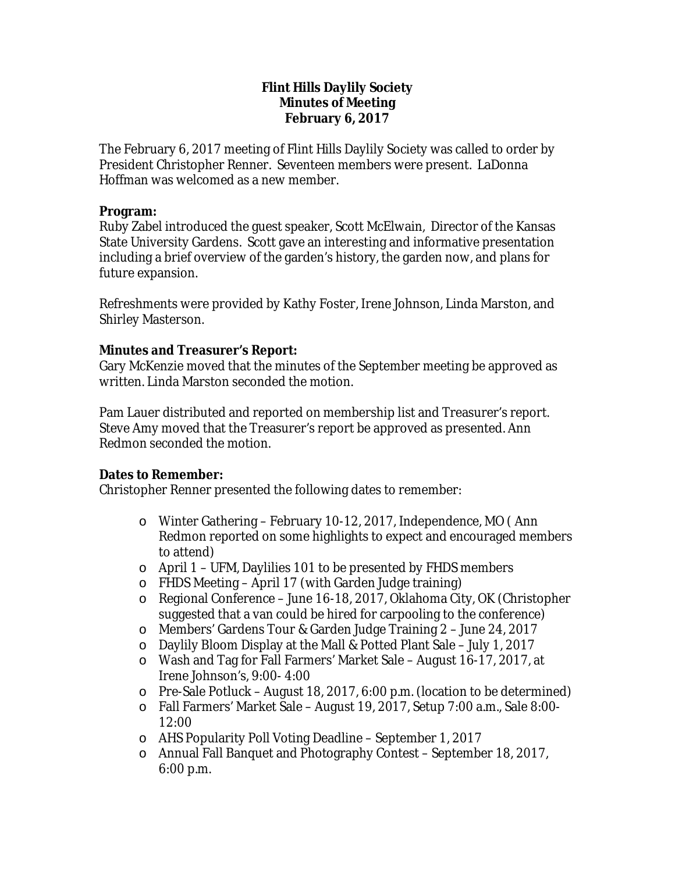## **Flint Hills Daylily Society Minutes of Meeting February 6, 2017**

The February 6, 2017 meeting of Flint Hills Daylily Society was called to order by President Christopher Renner. Seventeen members were present. LaDonna Hoffman was welcomed as a new member.

## **Program:**

Ruby Zabel introduced the guest speaker, Scott McElwain, Director of the Kansas State University Gardens. Scott gave an interesting and informative presentation including a brief overview of the garden's history, the garden now, and plans for future expansion.

Refreshments were provided by Kathy Foster, Irene Johnson, Linda Marston, and Shirley Masterson.

# **Minutes and Treasurer's Report:**

Gary McKenzie moved that the minutes of the September meeting be approved as written. Linda Marston seconded the motion.

Pam Lauer distributed and reported on membership list and Treasurer's report. Steve Amy moved that the Treasurer's report be approved as presented. Ann Redmon seconded the motion.

# **Dates to Remember:**

Christopher Renner presented the following dates to remember:

- o Winter Gathering February 10-12, 2017, Independence, MO ( Ann Redmon reported on some highlights to expect and encouraged members to attend)
- o April 1 UFM, Daylilies 101 to be presented by FHDS members
- o FHDS Meeting April 17 (with Garden Judge training)
- o Regional Conference June 16-18, 2017, Oklahoma City, OK (Christopher suggested that a van could be hired for carpooling to the conference)
- o Members' Gardens Tour & Garden Judge Training 2 June 24, 2017
- o Daylily Bloom Display at the Mall & Potted Plant Sale July 1, 2017
- o Wash and Tag for Fall Farmers' Market Sale August 16-17, 2017, at Irene Johnson's, 9:00- 4:00
- o Pre-Sale Potluck August 18, 2017, 6:00 p.m. (location to be determined)
- o Fall Farmers' Market Sale August 19, 2017, Setup 7:00 a.m., Sale 8:00- 12:00
- o AHS Popularity Poll Voting Deadline September 1, 2017
- o Annual Fall Banquet and Photography Contest September 18, 2017, 6:00 p.m.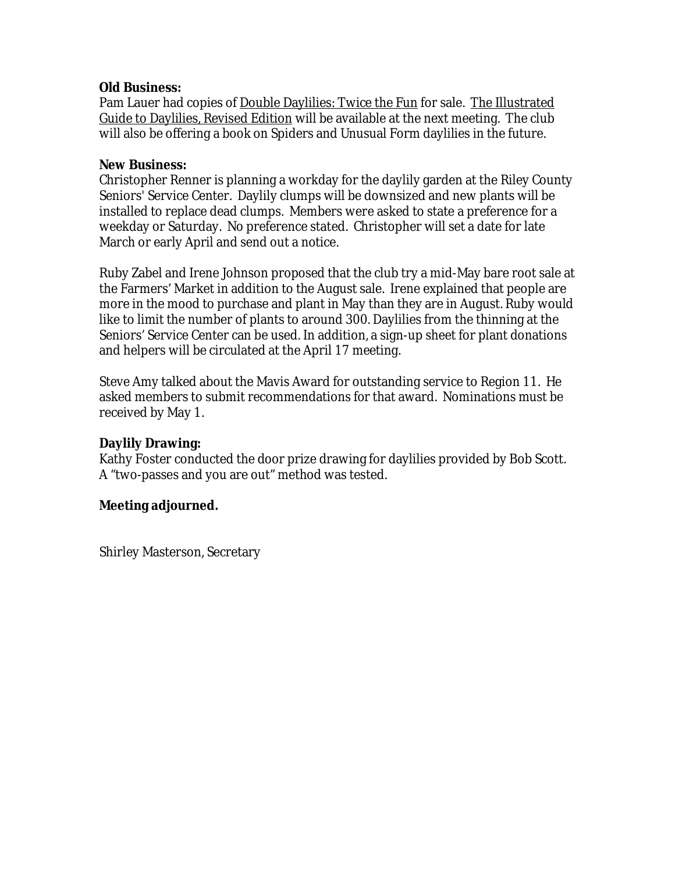## **Old Business:**

Pam Lauer had copies of Double Daylilies: Twice the Fun for sale. The Illustrated Guide to Daylilies, Revised Edition will be available at the next meeting. The club will also be offering a book on Spiders and Unusual Form daylilies in the future.

## **New Business:**

Christopher Renner is planning a workday for the daylily garden at the Riley County Seniors*'* Service Center. Daylily clumps will be downsized and new plants will be installed to replace dead clumps. Members were asked to state a preference for a weekday or Saturday. No preference stated. Christopher will set a date for late March or early April and send out a notice.

Ruby Zabel and Irene Johnson proposed that the club try a mid-May bare root sale at the Farmers' Market in addition to the August sale. Irene explained that people are more in the mood to purchase and plant in May than they are in August. Ruby would like to limit the number of plants to around 300. Daylilies from the thinning at the Seniors' Service Center can be used. In addition, a sign-up sheet for plant donations and helpers will be circulated at the April 17 meeting.

Steve Amy talked about the Mavis Award for outstanding service to Region 11. He asked members to submit recommendations for that award. Nominations must be received by May 1.

# **Daylily Drawing:**

Kathy Foster conducted the door prize drawing for daylilies provided by Bob Scott. A "two-passes and you are out" method was tested.

# **Meeting adjourned.**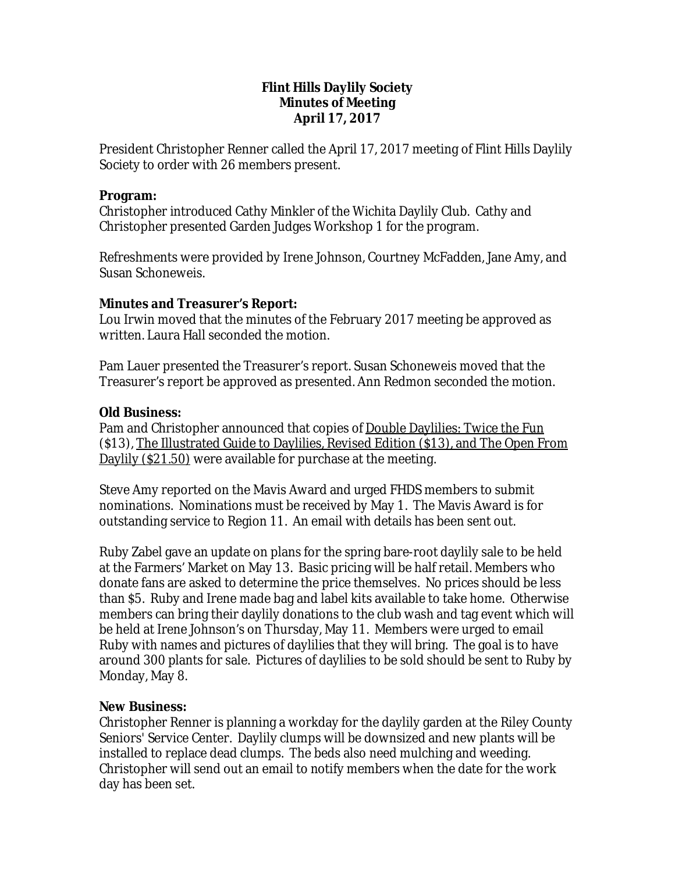## **Flint Hills Daylily Society Minutes of Meeting April 17, 2017**

President Christopher Renner called the April 17, 2017 meeting of Flint Hills Daylily Society to order with 26 members present.

#### **Program:**

Christopher introduced Cathy Minkler of the Wichita Daylily Club. Cathy and Christopher presented Garden Judges Workshop 1 for the program.

Refreshments were provided by Irene Johnson, Courtney McFadden, Jane Amy, and Susan Schoneweis.

## **Minutes and Treasurer's Report:**

Lou Irwin moved that the minutes of the February 2017 meeting be approved as written. Laura Hall seconded the motion.

Pam Lauer presented the Treasurer's report. Susan Schoneweis moved that the Treasurer's report be approved as presented. Ann Redmon seconded the motion.

## **Old Business:**

Pam and Christopher announced that copies of **Double Daylilies: Twice the Fun** (\$13), The Illustrated Guide to Daylilies, Revised Edition (\$13), and The Open From Daylily (\$21.50) were available for purchase at the meeting.

Steve Amy reported on the Mavis Award and urged FHDS members to submit nominations. Nominations must be received by May 1. The Mavis Award is for outstanding service to Region 11. An email with details has been sent out.

Ruby Zabel gave an update on plans for the spring bare-root daylily sale to be held at the Farmers' Market on May 13. Basic pricing will be half retail. Members who donate fans are asked to determine the price themselves. No prices should be less than \$5. Ruby and Irene made bag and label kits available to take home. Otherwise members can bring their daylily donations to the club wash and tag event which will be held at Irene Johnson's on Thursday, May 11. Members were urged to email Ruby with names and pictures of daylilies that they will bring. The goal is to have around 300 plants for sale. Pictures of daylilies to be sold should be sent to Ruby by Monday, May 8.

## **New Business:**

Christopher Renner is planning a workday for the daylily garden at the Riley County Seniors*'* Service Center. Daylily clumps will be downsized and new plants will be installed to replace dead clumps. The beds also need mulching and weeding. Christopher will send out an email to notify members when the date for the work day has been set.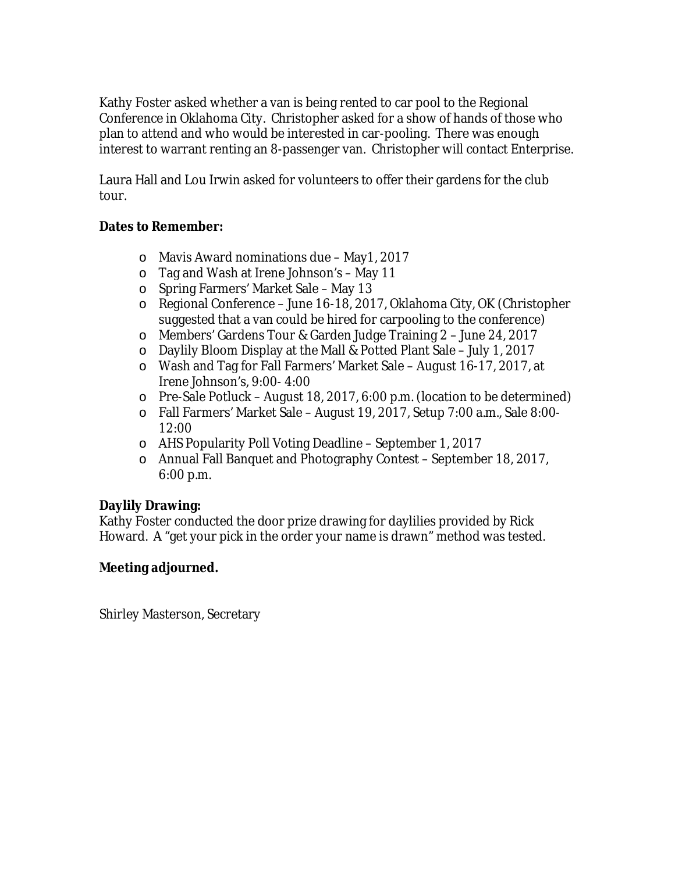Kathy Foster asked whether a van is being rented to car pool to the Regional Conference in Oklahoma City. Christopher asked for a show of hands of those who plan to attend and who would be interested in car-pooling. There was enough interest to warrant renting an 8-passenger van. Christopher will contact Enterprise.

Laura Hall and Lou Irwin asked for volunteers to offer their gardens for the club tour.

# **Dates to Remember:**

- o Mavis Award nominations due May1, 2017
- o Tag and Wash at Irene Johnson's May 11
- o Spring Farmers' Market Sale May 13
- o Regional Conference June 16-18, 2017, Oklahoma City, OK (Christopher suggested that a van could be hired for carpooling to the conference)
- o Members' Gardens Tour & Garden Judge Training 2 June 24, 2017
- o Daylily Bloom Display at the Mall & Potted Plant Sale July 1, 2017
- o Wash and Tag for Fall Farmers' Market Sale August 16-17, 2017, at Irene Johnson's, 9:00- 4:00
- o Pre-Sale Potluck August 18, 2017, 6:00 p.m. (location to be determined)
- o Fall Farmers' Market Sale August 19, 2017, Setup 7:00 a.m., Sale 8:00- 12:00
- o AHS Popularity Poll Voting Deadline September 1, 2017
- o Annual Fall Banquet and Photography Contest September 18, 2017, 6:00 p.m.

# **Daylily Drawing:**

Kathy Foster conducted the door prize drawing for daylilies provided by Rick Howard. A "get your pick in the order your name is drawn" method was tested.

# **Meeting adjourned.**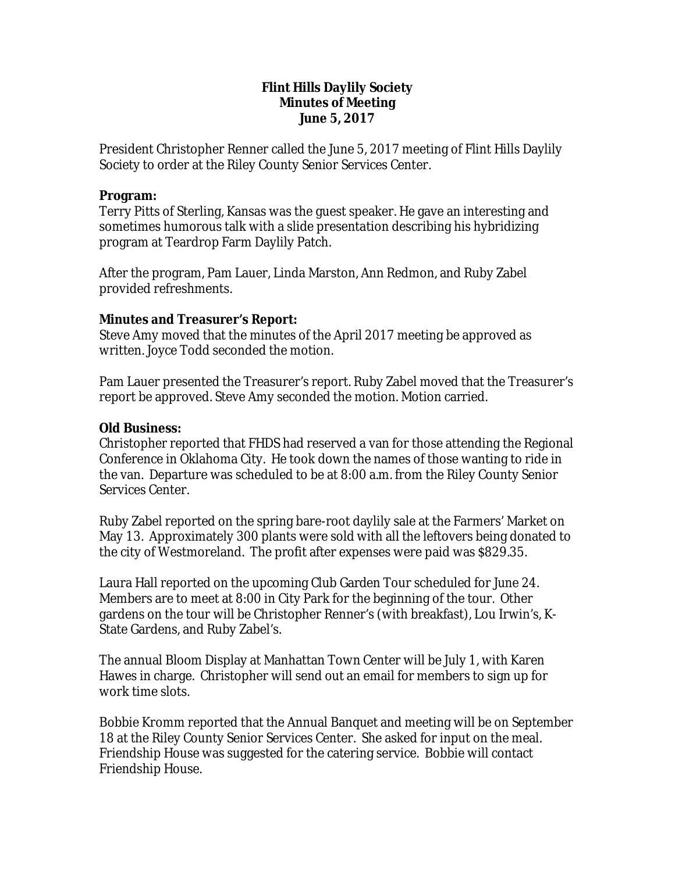## **Flint Hills Daylily Society Minutes of Meeting June 5, 2017**

President Christopher Renner called the June 5, 2017 meeting of Flint Hills Daylily Society to order at the Riley County Senior Services Center.

#### **Program:**

Terry Pitts of Sterling, Kansas was the guest speaker. He gave an interesting and sometimes humorous talk with a slide presentation describing his hybridizing program at Teardrop Farm Daylily Patch.

After the program, Pam Lauer, Linda Marston, Ann Redmon, and Ruby Zabel provided refreshments.

## **Minutes and Treasurer's Report:**

Steve Amy moved that the minutes of the April 2017 meeting be approved as written. Joyce Todd seconded the motion.

Pam Lauer presented the Treasurer's report. Ruby Zabel moved that the Treasurer's report be approved. Steve Amy seconded the motion. Motion carried.

## **Old Business:**

Christopher reported that FHDS had reserved a van for those attending the Regional Conference in Oklahoma City. He took down the names of those wanting to ride in the van. Departure was scheduled to be at 8:00 a.m. from the Riley County Senior Services Center.

Ruby Zabel reported on the spring bare-root daylily sale at the Farmers' Market on May 13. Approximately 300 plants were sold with all the leftovers being donated to the city of Westmoreland. The profit after expenses were paid was \$829.35.

Laura Hall reported on the upcoming Club Garden Tour scheduled for June 24. Members are to meet at 8:00 in City Park for the beginning of the tour. Other gardens on the tour will be Christopher Renner's (with breakfast), Lou Irwin's, K-State Gardens, and Ruby Zabel's.

The annual Bloom Display at Manhattan Town Center will be July 1, with Karen Hawes in charge. Christopher will send out an email for members to sign up for work time slots.

Bobbie Kromm reported that the Annual Banquet and meeting will be on September 18 at the Riley County Senior Services Center. She asked for input on the meal. Friendship House was suggested for the catering service. Bobbie will contact Friendship House.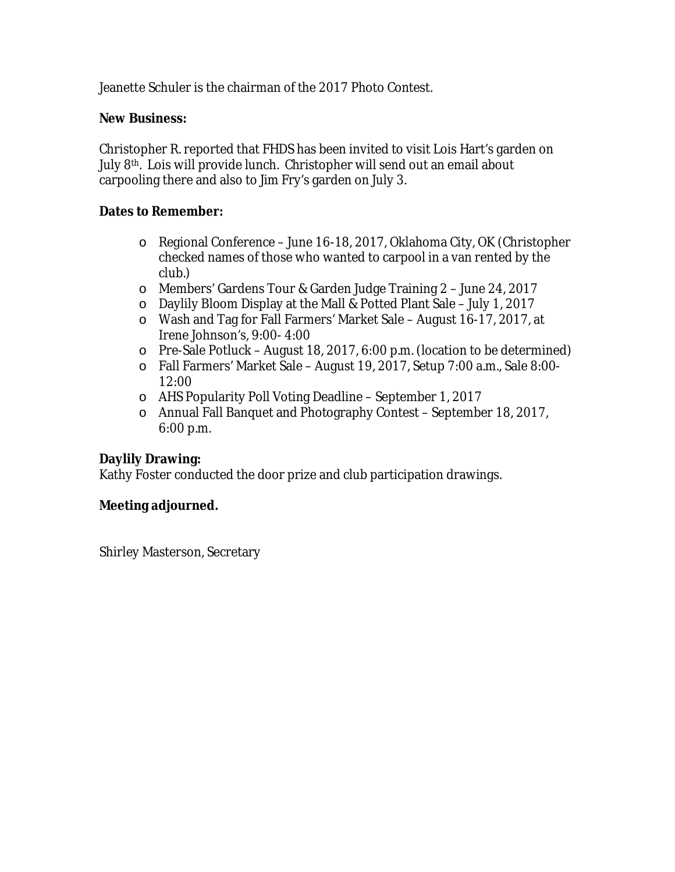Jeanette Schuler is the chairman of the 2017 Photo Contest.

## **New Business:**

Christopher R. reported that FHDS has been invited to visit Lois Hart's garden on July 8<sup>th</sup>. Lois will provide lunch. Christopher will send out an email about carpooling there and also to Jim Fry's garden on July 3.

## **Dates to Remember:**

- o Regional Conference June 16-18, 2017, Oklahoma City, OK (Christopher checked names of those who wanted to carpool in a van rented by the club.)
- o Members' Gardens Tour & Garden Judge Training 2 June 24, 2017
- o Daylily Bloom Display at the Mall & Potted Plant Sale July 1, 2017
- o Wash and Tag for Fall Farmers' Market Sale August 16-17, 2017, at Irene Johnson's, 9:00- 4:00
- o Pre-Sale Potluck August 18, 2017, 6:00 p.m. (location to be determined)
- o Fall Farmers' Market Sale August 19, 2017, Setup 7:00 a.m., Sale 8:00- 12:00
- o AHS Popularity Poll Voting Deadline September 1, 2017
- o Annual Fall Banquet and Photography Contest September 18, 2017, 6:00 p.m.

# **Daylily Drawing:**

Kathy Foster conducted the door prize and club participation drawings.

## **Meeting adjourned.**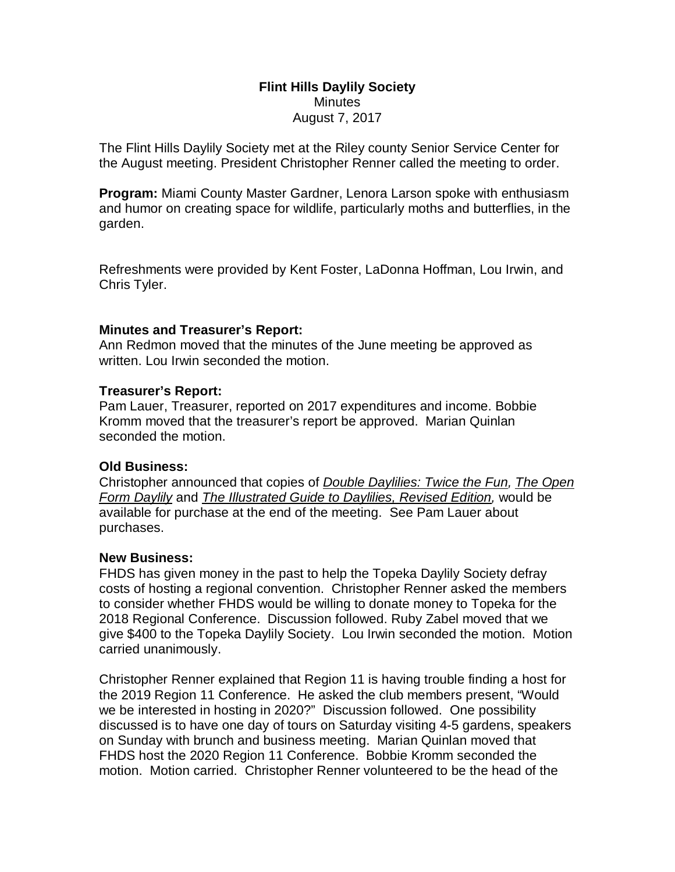#### **Flint Hills Daylily Society Minutes** August 7, 2017

The Flint Hills Daylily Society met at the Riley county Senior Service Center for the August meeting. President Christopher Renner called the meeting to order.

**Program:** Miami County Master Gardner, Lenora Larson spoke with enthusiasm and humor on creating space for wildlife, particularly moths and butterflies, in the garden.

Refreshments were provided by Kent Foster, LaDonna Hoffman, Lou Irwin, and Chris Tyler.

#### **Minutes and Treasurer's Report:**

Ann Redmon moved that the minutes of the June meeting be approved as written. Lou Irwin seconded the motion.

#### **Treasurer's Report:**

Pam Lauer, Treasurer, reported on 2017 expenditures and income. Bobbie Kromm moved that the treasurer's report be approved. Marian Quinlan seconded the motion.

## **Old Business:**

Christopher announced that copies of *Double Daylilies: Twice the Fun, The Open Form Daylily* and *The Illustrated Guide to Daylilies, Revised Edition,* would be available for purchase at the end of the meeting. See Pam Lauer about purchases.

#### **New Business:**

FHDS has given money in the past to help the Topeka Daylily Society defray costs of hosting a regional convention. Christopher Renner asked the members to consider whether FHDS would be willing to donate money to Topeka for the 2018 Regional Conference. Discussion followed. Ruby Zabel moved that we give \$400 to the Topeka Daylily Society. Lou Irwin seconded the motion. Motion carried unanimously.

Christopher Renner explained that Region 11 is having trouble finding a host for the 2019 Region 11 Conference. He asked the club members present, "Would we be interested in hosting in 2020?" Discussion followed. One possibility discussed is to have one day of tours on Saturday visiting 4-5 gardens, speakers on Sunday with brunch and business meeting. Marian Quinlan moved that FHDS host the 2020 Region 11 Conference. Bobbie Kromm seconded the motion. Motion carried. Christopher Renner volunteered to be the head of the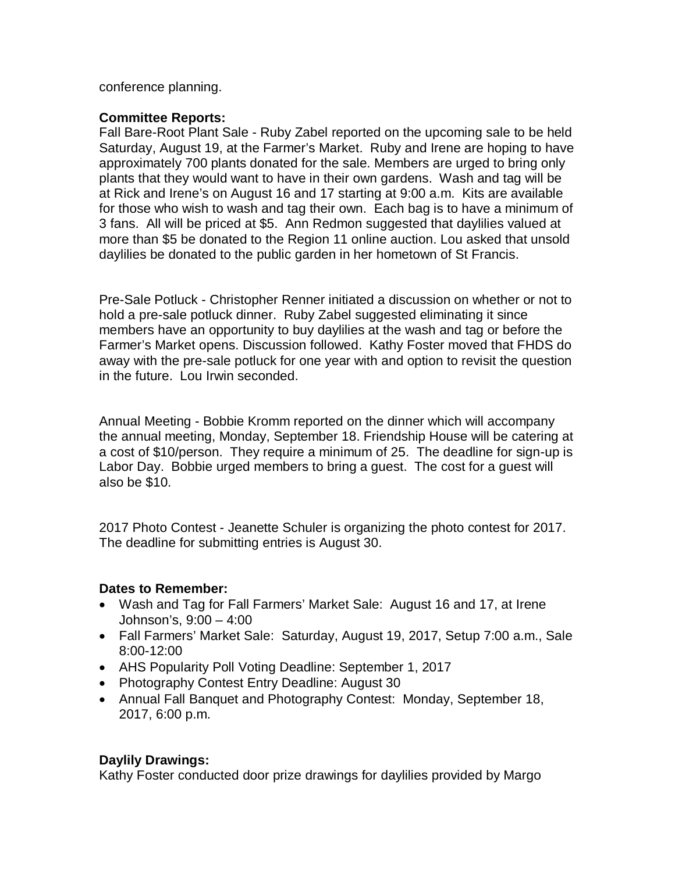conference planning.

## **Committee Reports:**

Fall Bare-Root Plant Sale - Ruby Zabel reported on the upcoming sale to be held Saturday, August 19, at the Farmer's Market. Ruby and Irene are hoping to have approximately 700 plants donated for the sale. Members are urged to bring only plants that they would want to have in their own gardens. Wash and tag will be at Rick and Irene's on August 16 and 17 starting at 9:00 a.m. Kits are available for those who wish to wash and tag their own. Each bag is to have a minimum of 3 fans. All will be priced at \$5. Ann Redmon suggested that daylilies valued at more than \$5 be donated to the Region 11 online auction. Lou asked that unsold daylilies be donated to the public garden in her hometown of St Francis.

Pre-Sale Potluck - Christopher Renner initiated a discussion on whether or not to hold a pre-sale potluck dinner. Ruby Zabel suggested eliminating it since members have an opportunity to buy daylilies at the wash and tag or before the Farmer's Market opens. Discussion followed. Kathy Foster moved that FHDS do away with the pre-sale potluck for one year with and option to revisit the question in the future. Lou Irwin seconded.

Annual Meeting - Bobbie Kromm reported on the dinner which will accompany the annual meeting, Monday, September 18. Friendship House will be catering at a cost of \$10/person. They require a minimum of 25. The deadline for sign-up is Labor Day. Bobbie urged members to bring a guest. The cost for a guest will also be \$10.

2017 Photo Contest - Jeanette Schuler is organizing the photo contest for 2017. The deadline for submitting entries is August 30.

# **Dates to Remember:**

- Wash and Tag for Fall Farmers' Market Sale: August 16 and 17, at Irene Johnson's, 9:00 – 4:00
- Fall Farmers' Market Sale: Saturday, August 19, 2017, Setup 7:00 a.m., Sale 8:00-12:00
- AHS Popularity Poll Voting Deadline: September 1, 2017
- Photography Contest Entry Deadline: August 30
- Annual Fall Banquet and Photography Contest: Monday, September 18, 2017, 6:00 p.m.

# **Daylily Drawings:**

Kathy Foster conducted door prize drawings for daylilies provided by Margo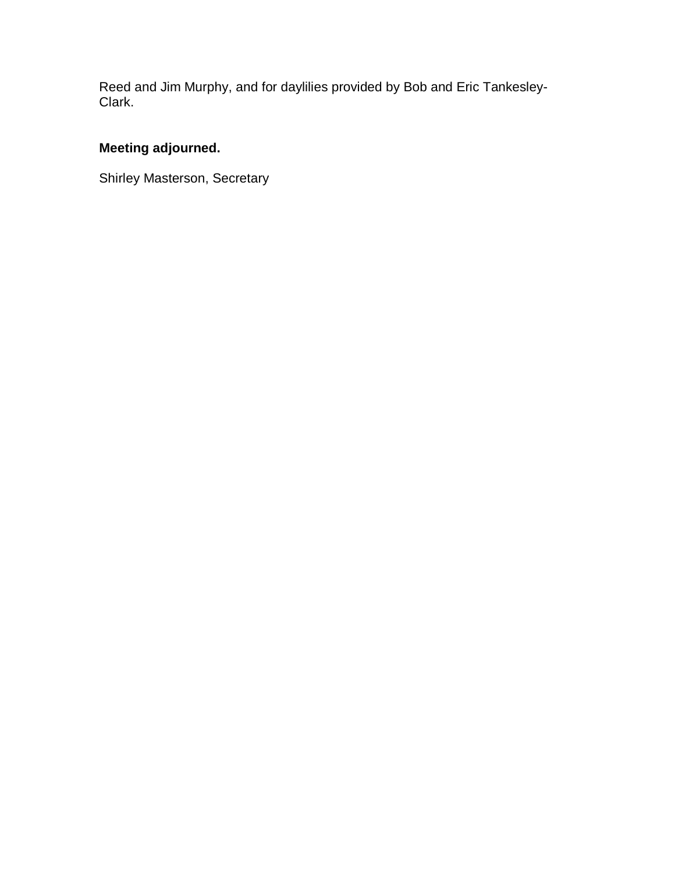Reed and Jim Murphy, and for daylilies provided by Bob and Eric Tankesley-Clark.

# **Meeting adjourned.**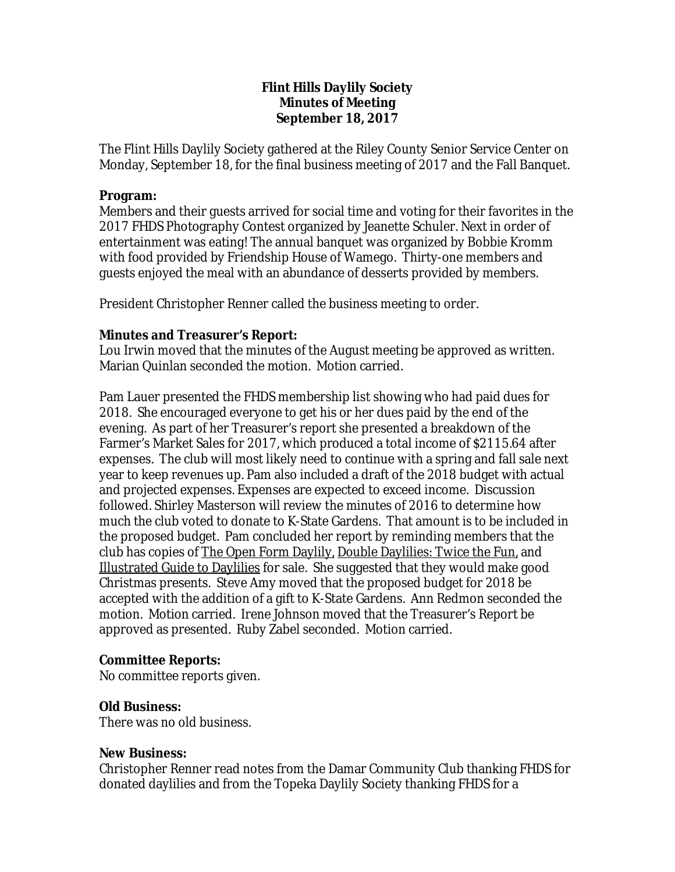## **Flint Hills Daylily Society Minutes of Meeting September 18, 2017**

The Flint Hills Daylily Society gathered at the Riley County Senior Service Center on Monday, September 18, for the final business meeting of 2017 and the Fall Banquet.

## **Program:**

Members and their guests arrived for social time and voting for their favorites in the 2017 FHDS Photography Contest organized by Jeanette Schuler. Next in order of entertainment was eating! The annual banquet was organized by Bobbie Kromm with food provided by Friendship House of Wamego. Thirty-one members and guests enjoyed the meal with an abundance of desserts provided by members.

President Christopher Renner called the business meeting to order.

## **Minutes and Treasurer's Report:**

Lou Irwin moved that the minutes of the August meeting be approved as written. Marian Quinlan seconded the motion. Motion carried.

Pam Lauer presented the FHDS membership list showing who had paid dues for 2018. She encouraged everyone to get his or her dues paid by the end of the evening. As part of her Treasurer's report she presented a breakdown of the Farmer's Market Sales for 2017, which produced a total income of \$2115.64 after expenses. The club will most likely need to continue with a spring and fall sale next year to keep revenues up. Pam also included a draft of the 2018 budget with actual and projected expenses. Expenses are expected to exceed income. Discussion followed. Shirley Masterson will review the minutes of 2016 to determine how much the club voted to donate to K-State Gardens. That amount is to be included in the proposed budget. Pam concluded her report by reminding members that the club has copies of The Open Form Daylily, Double Daylilies: Twice the Fun, and Illustrated Guide to Daylilies for sale. She suggested that they would make good Christmas presents. Steve Amy moved that the proposed budget for 2018 be accepted with the addition of a gift to K-State Gardens. Ann Redmon seconded the motion. Motion carried. Irene Johnson moved that the Treasurer's Report be approved as presented. Ruby Zabel seconded. Motion carried.

# **Committee Reports:**

No committee reports given.

# **Old Business:**

There was no old business.

## **New Business:**

Christopher Renner read notes from the Damar Community Club thanking FHDS for donated daylilies and from the Topeka Daylily Society thanking FHDS for a